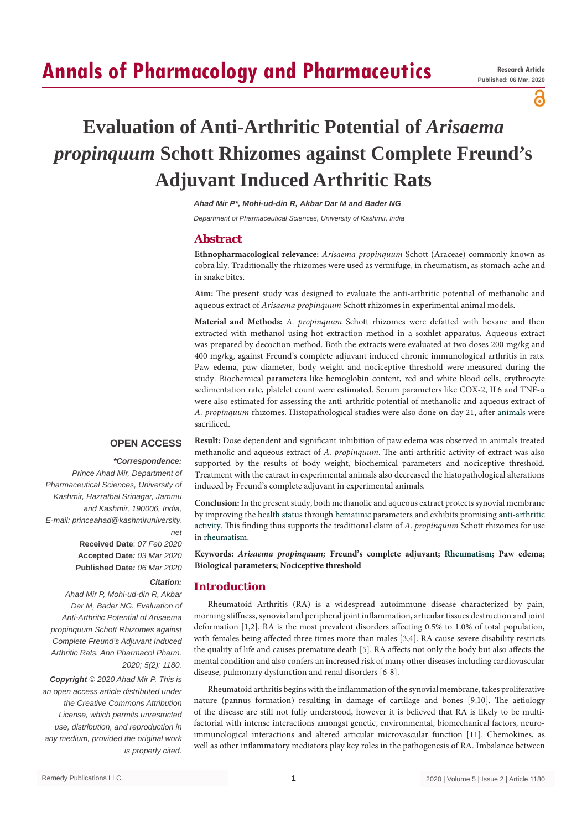# **Annals of Pharmacology and Pharmaceutics**

പ

# **Evaluation of Anti-Arthritic Potential of** *Arisaema propinquum* **Schott Rhizomes against Complete Freund's Adjuvant Induced Arthritic Rats**

*Ahad Mir P\*, Mohi-ud-din R, Akbar Dar M and Bader NG*

*Department of Pharmaceutical Sciences, University of Kashmir, India*

## **Abstract**

**Ethnopharmacological relevance:** *Arisaema propinquum* Schott (Araceae) commonly known as cobra lily. Traditionally the rhizomes were used as vermifuge, in rheumatism, as stomach-ache and in snake bites.

**Aim:** The present study was designed to evaluate the anti-arthritic potential of methanolic and aqueous extract of *Arisaema propinquum* Schott rhizomes in experimental animal models.

**Material and Methods:** *A. propinquum* Schott rhizomes were defatted with hexane and then extracted with methanol using hot extraction method in a soxhlet apparatus. Aqueous extract was prepared by decoction method. Both the extracts were evaluated at two doses 200 mg/kg and 400 mg/kg, against Freund's complete adjuvant induced chronic immunological arthritis in rats. Paw edema, paw diameter, body weight and nociceptive threshold were measured during the study. Biochemical parameters like hemoglobin content, red and white blood cells, erythrocyte sedimentation rate, platelet count were estimated. Serum parameters like COX-2, IL6 and TNF-α were also estimated for assessing the anti-arthritic potential of methanolic and aqueous extract of *A. propinquum* rhizomes. Histopathological studies were also done on day 21, after [animals](https://www.sciencedirect.com/topics/pharmacology-toxicology-and-pharmaceutical-science/animal) were sacrificed.

## **OPEN ACCESS**

#### *\*Correspondence:*

*Prince Ahad Mir, Department of Pharmaceutical Sciences, University of Kashmir, Hazratbal Srinagar, Jammu and Kashmir, 190006, India, E-mail: princeahad@kashmiruniversity. net*

> **Received Date**: *07 Feb 2020* **Accepted Date***: 03 Mar 2020* **Published Date***: 06 Mar 2020*

## *Citation:*

*Ahad Mir P, Mohi-ud-din R, Akbar Dar M, Bader NG. Evaluation of Anti-Arthritic Potential of Arisaema propinquum Schott Rhizomes against Complete Freund's Adjuvant Induced Arthritic Rats. Ann Pharmacol Pharm. 2020; 5(2): 1180.*

*Copyright © 2020 Ahad Mir P. This is an open access article distributed under the Creative Commons Attribution License, which permits unrestricted use, distribution, and reproduction in any medium, provided the original work is properly cited.*

**Result:** Dose dependent and significant inhibition of paw edema was observed in animals treated methanolic and aqueous extract of *A. propinquum*. The anti-arthritic activity of extract was also supported by the results of body weight, biochemical parameters and nociceptive threshold. Treatment with the extract in experimental animals also decreased the histopathological alterations induced by Freund's complete adjuvant in experimental animals.

**Conclusion:** In the present study, both methanolic and aqueous extract protects synovial membrane by improving the [health status](https://www.sciencedirect.com/topics/pharmacology-toxicology-and-pharmaceutical-science/health-status) through [hematinic](https://www.sciencedirect.com/topics/pharmacology-toxicology-and-pharmaceutical-science/antianemic-agent) parameters and exhibits promising [anti-arthritic](https://www.sciencedirect.com/topics/pharmacology-toxicology-and-pharmaceutical-science/antiarthritic-activity)  [activity.](https://www.sciencedirect.com/topics/pharmacology-toxicology-and-pharmaceutical-science/antiarthritic-activity) This finding thus supports the traditional claim of *A. propinquum* Schott rhizomes for use in [rheumatism.](https://www.sciencedirect.com/topics/pharmacology-toxicology-and-pharmaceutical-science/rheumatic-disease)

**Keywords:** *Arisaema propinquum;* **Freund's complete adjuvant; [Rheumatism](https://www.sciencedirect.com/topics/pharmacology-toxicology-and-pharmaceutical-science/rheumatic-disease); Paw edema; Biological parameters; Nociceptive threshold**

## **Introduction**

Rheumatoid Arthritis (RA) is a widespread autoimmune disease characterized by pain, morning stiffness, synovial and peripheral [joint inflammation](https://www.sciencedirect.com/topics/pharmacology-toxicology-and-pharmaceutical-science/arthritis), articular tissues destruction and joint deformation [1,2]. RA is the most prevalent disorders affecting 0.5% to 1.0% of total population, with females being affected three times more than males [3,4]. RA cause severe disability restricts the quality of life and causes premature death [5]. RA affects not only the body but also affects the mental condition and also confers an increased risk of many other diseases including cardiovascular disease, pulmonary dysfunction and renal disorders [6-8].

Rheumatoid arthritis begins with the inflammation of the synovial membrane, takes proliferative nature (pannus formation) resulting in damage of cartilage and bones [9,10]. The aetiology of the disease are still not fully understood, however it is believed that RA is likely to be multifactorial with intense interactions amongst genetic, environmental, biomechanical factors, neuroimmunological interactions and altered articular microvascular function [11]. Chemokines, as well as other inflammatory mediators play key roles in the pathogenesis of RA. Imbalance between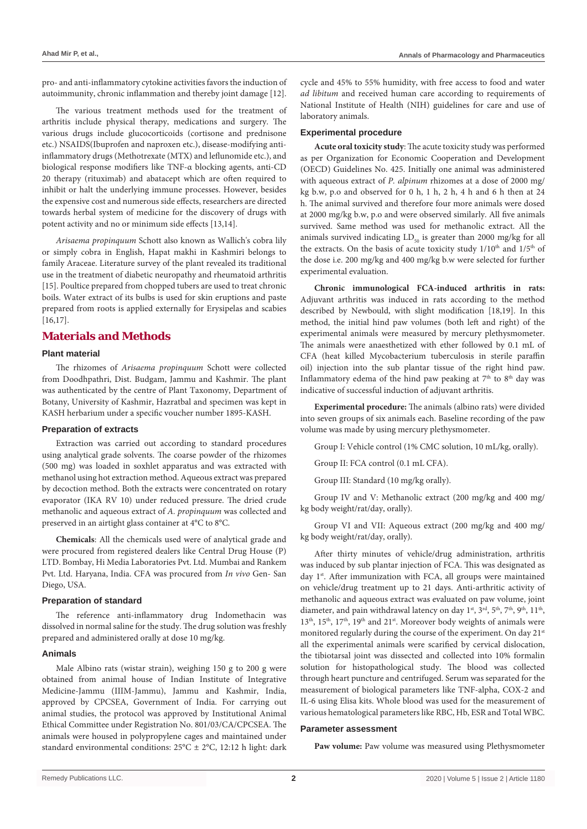pro- and anti-inflammatory cytokine activities favors the induction of autoimmunity, chronic inflammation and thereby joint damage [12].

The various treatment methods used for the treatment of arthritis include physical therapy, medications and surgery. The various drugs include glucocorticoids (cortisone and prednisone etc.) NSAIDS(Ibuprofen and naproxen etc.), disease-modifying antiinflammatory drugs (Methotrexate (MTX) and leflunomide etc.), and biological response modifiers like TNF-α blocking agents, anti-CD 20 therapy (rituximab) and abatacept which are often required to inhibit or halt the underlying immune processes. However, besides the expensive cost and numerous side effects, researchers are directed towards herbal system of medicine for the discovery of drugs with potent activity and no or minimum side effects [13,14].

*Arisaema propinquum* Schott also known as Wallich's cobra lily or simply cobra in English, Hapat makhi in Kashmiri belongs to family Araceae. Literature survey of the plant revealed its traditional use in the treatment of diabetic neuropathy and rheumatoid arthritis [15]. Poultice prepared from chopped tubers are used to treat chronic boils. Water extract of its bulbs is used for skin eruptions and paste prepared from roots is applied externally for Erysipelas and scabies [16,17].

## **Materials and Methods**

## **Plant material**

The rhizomes of *Arisaema propinquum* Schott were collected from Doodhpathri, Dist. Budgam, Jammu and Kashmir. The plant was authenticated by the centre of Plant Taxonomy, Department of Botany, University of Kashmir, Hazratbal and specimen was kept in KASH herbarium under a specific voucher number 1895-KASH.

## **Preparation of extracts**

Extraction was carried out according to standard procedures using analytical grade solvents. The coarse powder of the rhizomes (500 mg) was loaded in soxhlet apparatus and was extracted with methanol using hot extraction method. Aqueous extract was prepared by decoction method. Both the extracts were concentrated on rotary evaporator (IKA RV 10) under reduced pressure. The dried crude methanolic and aqueous extract of *A. propinquum* was collected and preserved in an airtight glass container at 4°C to 8°C.

**Chemicals**: All the chemicals used were of analytical grade and were procured from registered dealers like Central Drug House (P) LTD. Bombay, Hi Media Laboratories Pvt. Ltd. Mumbai and Rankem Pvt. Ltd. Haryana, India. CFA was procured from *In vivo* Gen- San Diego, USA.

## **Preparation of standard**

The reference anti-inflammatory drug Indomethacin was dissolved in normal saline for the study. The drug solution was freshly prepared and administered orally at dose 10 mg/kg.

## **Animals**

Male Albino rats (wistar strain), weighing 150 g to 200 g were obtained from animal house of Indian Institute of Integrative Medicine-Jammu (IIIM-Jammu), Jammu and Kashmir, India, approved by CPCSEA, Government of India. For carrying out animal studies, the protocol was approved by Institutional Animal Ethical Committee under Registration No. 801/03/CA/CPCSEA. The animals were housed in polypropylene cages and maintained under standard environmental conditions: 25°C ± 2°C, 12:12 h light: dark

cycle and 45% to 55% humidity, with free access to food and water *ad libitum* and received human care according to requirements of National Institute of Health (NIH) guidelines for care and use of laboratory animals.

## **Experimental procedure**

**Acute oral toxicity study**: The acute toxicity study was performed as per Organization for Economic Cooperation and Development (OECD) Guidelines No. 425. Initially one animal was administered with aqueous extract of *P. alpinum* rhizomes at a dose of 2000 mg/ kg b.w, p.o and observed for 0 h, 1 h, 2 h, 4 h and 6 h then at 24 h. The animal survived and therefore four more animals were dosed at 2000 mg/kg b.w, p.o and were observed similarly. All five animals survived. Same method was used for methanolic extract. All the animals survived indicating  $LD_{50}$  is greater than 2000 mg/kg for all the extracts. On the basis of acute toxicity study 1/10<sup>th</sup> and 1/5<sup>th</sup> of the dose i.e. 200 mg/kg and 400 mg/kg b.w were selected for further experimental evaluation.

**Chronic immunological FCA-induced arthritis in rats:**  Adjuvant arthritis was induced in rats according to the method described by Newbould, with slight modification [18,19]. In this method, the initial hind paw volumes (both left and right) of the experimental animals were measured by mercury plethysmometer. The animals were anaesthetized with ether followed by 0.1 mL of CFA (heat killed Mycobacterium tuberculosis in sterile paraffin oil) injection into the sub plantar tissue of the right hind paw. Inflammatory edema of the hind paw peaking at  $7<sup>th</sup>$  to  $8<sup>th</sup>$  day was indicative of successful induction of adjuvant arthritis.

**Experimental procedure:** The animals (albino rats) were divided into seven groups of six animals each. Baseline recording of the paw volume was made by using mercury plethysmometer.

Group I: Vehicle control (1% CMC solution, 10 mL/kg, orally).

Group II: FCA control (0.1 mL CFA).

Group III: Standard (10 mg/kg orally).

Group IV and V: Methanolic extract (200 mg/kg and 400 mg/ kg body weight/rat/day, orally).

Group VI and VII: Aqueous extract (200 mg/kg and 400 mg/ kg body weight/rat/day, orally).

After thirty minutes of [vehicle/drug](https://www.sciencedirect.com/topics/pharmacology-toxicology-and-pharmaceutical-science/drug-vehicle) administration, arthritis was induced by sub plantar injection of FCA. This was designated as day 1<sup>st</sup>. After immunization with FCA, all groups were maintained on vehicle/drug treatment up to 21 days. [Anti-arthritic activity](https://www.sciencedirect.com/topics/pharmacology-toxicology-and-pharmaceutical-science/antiarthritic-activity)  of methanolic and aqueous extract was evaluated on paw volume, joint diameter, and pain withdrawal latency on day  $1^{st}$ ,  $3^{rd}$ ,  $5^{th}$ ,  $7^{th}$ ,  $9^{th}$ ,  $11^{th}$ , 13<sup>th</sup>, 15<sup>th</sup>, 17<sup>th</sup>, 19<sup>th</sup> and 21<sup>st</sup>. Moreover body weights of animals were monitored regularly during the course of the experiment. On day 21<sup>st</sup> all the experimental animals were scarified by cervical dislocation, the tibiotarsal joint was dissected and collected into 10% formalin solution for histopathological study. The blood was collected through heart puncture and centrifuged. Serum was separated for the measurement of biological parameters like TNF-alpha, COX-2 and IL-6 using Elisa kits. Whole blood was used for the measurement of various hematological parameters like RBC, Hb, ESR and Total WBC.

## **Parameter assessment**

Paw volume: Paw volume was measured using Plethysmometer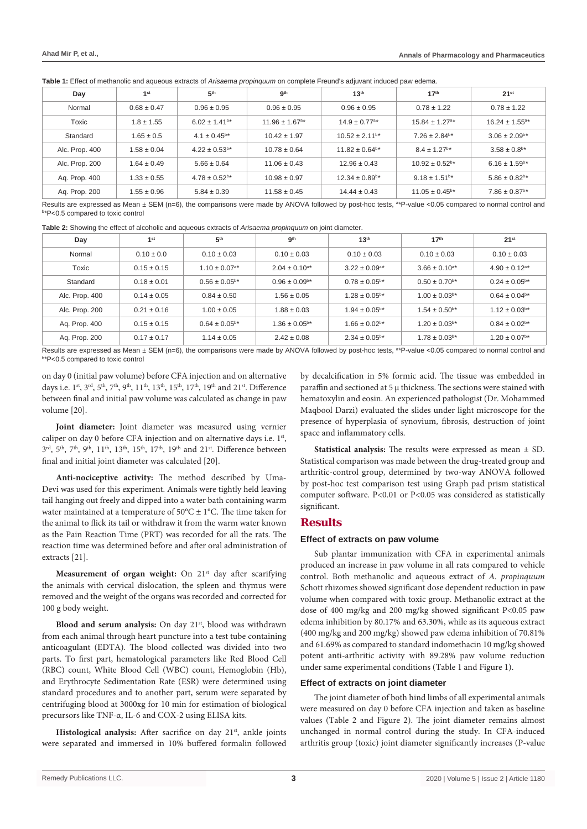| Day            | 1 <sup>st</sup> | 5 <sup>th</sup>               | <b>gth</b>                     | 13 <sup>th</sup>               | 17 <sup>th</sup>               | 21 <sup>st</sup>              |
|----------------|-----------------|-------------------------------|--------------------------------|--------------------------------|--------------------------------|-------------------------------|
| Normal         | $0.68 \pm 0.47$ | $0.96 \pm 0.95$               | $0.96 \pm 0.95$                | $0.96 \pm 0.95$                | $0.78 \pm 1.22$                | $0.78 \pm 1.22$               |
| Toxic          | $1.8 \pm 1.55$  | $6.02 \pm 1.41$ <sup>a*</sup> | $11.96 \pm 1.67$ <sup>a*</sup> | $14.9 \pm 0.77$ <sup>a*</sup>  | $15.84 \pm 1.27$ <sup>a*</sup> | $16.24 \pm 1.55^{a*}$         |
| Standard       | $1.65 \pm 0.5$  | $4.1 \pm 0.45^{\text{b}}$ *   | $10.42 \pm 1.97$               | $10.52 \pm 2.11$ <sup>b*</sup> | $7.26 \pm 2.84$ <sup>b*</sup>  | $3.06 \pm 2.09$ <sup>b*</sup> |
| Alc. Prop. 400 | $1.58 \pm 0.04$ | $4.22 \pm 0.53$ <sup>b*</sup> | $10.78 \pm 0.64$               | $11.82 \pm 0.64$ <sup>b*</sup> | $8.4 \pm 1.27$ <sup>b*</sup>   | $3.58 \pm 0.8$ <sup>b*</sup>  |
| Alc. Prop. 200 | $1.64 \pm 0.49$ | $5.66 \pm 0.64$               | $11.06 \pm 0.43$               | $12.96 \pm 0.43$               | $10.92 \pm 0.52$ <sup>b*</sup> | $6.16 \pm 1.59$ <sup>b*</sup> |
| Aq. Prop. 400  | $1.33 \pm 0.55$ | $4.78 \pm 0.52$ <sup>b*</sup> | $10.98 \pm 0.97$               | $12.34 \pm 0.89$ <sup>b*</sup> | $9.18 \pm 1.51$ <sup>b*</sup>  | $5.86 \pm 0.82$ <sup>b*</sup> |
| Ag. Prop. 200  | $1.55 \pm 0.96$ | $5.84 \pm 0.39$               | $11.58 \pm 0.45$               | $14.44 \pm 0.43$               | $11.05 \pm 0.45^{\circ}$ *     | $7.86 \pm 0.87$ <sup>b*</sup> |

**Table 1:** Effect of methanolic and aqueous extracts of *Arisaema propinquum* on complete Freund's adjuvant induced paw edema.

Results are expressed as Mean ± SEM (n=6), the comparisons were made by ANOVA followed by post-hoc tests, <sup>a \*</sup>P-value <0.05 compared to normal control and<br>b \*P<0 5 compared to toxic control *\**P<0.5 compared to toxic control

|  | Table 2: Showing the effect of alcoholic and aqueous extracts of Arisaema propinquum on joint diameter. |  |  |
|--|---------------------------------------------------------------------------------------------------------|--|--|
|--|---------------------------------------------------------------------------------------------------------|--|--|

| Day            | 1 <sup>st</sup> | 5 <sup>th</sup>               | gth                      | 13 <sup>th</sup>              | 17 <sup>th</sup>              | 21 <sup>st</sup>              |
|----------------|-----------------|-------------------------------|--------------------------|-------------------------------|-------------------------------|-------------------------------|
| Normal         | $0.10 \pm 0.0$  | $0.10 \pm 0.03$               | $0.10 \pm 0.03$          | $0.10 \pm 0.03$               | $0.10 \pm 0.03$               | $0.10 \pm 0.03$               |
| Toxic          | $0.15 \pm 0.15$ | $1.10 \pm 0.07$ <sup>a*</sup> | $2.04 \pm 0.10^{a*}$     | $3.22 \pm 0.09$ <sup>a*</sup> | $3.66 \pm 0.10^{a*}$          | $4.90 \pm 0.12$ <sup>a*</sup> |
| Standard       | $0.18 \pm 0.01$ | $0.56 \pm 0.05^{\circ}$ *     | $0.96 \pm 0.09^{\circ*}$ | $0.78 \pm 0.05^{\circ}$ *     | $0.50 \pm 0.70$ <sup>b*</sup> | $0.24 \pm 0.05^{\circ}$ *     |
| Alc. Prop. 400 | $0.14 \pm 0.05$ | $0.84 \pm 0.50$               | $1.56 \pm 0.05$          | $1.28 \pm 0.05^{\circ}$ *     | $1.00 \pm 0.03^{b*}$          | $0.64 \pm 0.04^{\text{b}}$ *  |
| Alc. Prop. 200 | $0.21 \pm 0.16$ | $1.00 \pm 0.05$               | $1.88 \pm 0.03$          | $1.94 \pm 0.05^{\circ}$ *     | $1.54 \pm 0.50$ <sup>b*</sup> | $1.12 \pm 0.03$ <sup>b*</sup> |
| Aq. Prop. 400  | $0.15 \pm 0.15$ | $0.64 \pm 0.05^{\circ}$ *     | $1.36 \pm 0.05^{\circ*}$ | $1.66 \pm 0.02$ <sup>b*</sup> | $1.20 \pm 0.03$ <sup>b*</sup> | $0.84 \pm 0.02$ <sup>b*</sup> |
| Aq. Prop. 200  | $0.17 \pm 0.17$ | $1.14 \pm 0.05$               | $2.42 \pm 0.08$          | $2.34 \pm 0.05^{\circ}$ *     | $1.78 \pm 0.03$ <sup>b*</sup> | $1.20 \pm 0.07$ <sup>b*</sup> |

Results are expressed as Mean ± SEM (n=6), the comparisons were made by ANOVA followed by post-hoc tests, <sup>a \*</sup>P-value <0.05 compared to normal control and<br>b \*P<0 5 compared to toxic control *\**P<0.5 compared to toxic control

on day 0 (initial paw volume) before CFA injection and on alternative days i.e. 1<sup>st</sup>, 3<sup>rd</sup>, 5<sup>th</sup>, 7<sup>th</sup>, 9<sup>th</sup>, 11<sup>th</sup>, 13<sup>th</sup>, 15<sup>th</sup>, 17<sup>th</sup>, 19<sup>th</sup> and 21<sup>st</sup>. Difference between final and initial paw volume was calculated as change in paw volume [20].

**Joint diameter:** Joint diameter was measured using vernier caliper on day 0 before CFA injection and on alternative days i.e. 1<sup>st</sup>,  $3^{\text{rd}}$ ,  $5^{\text{th}}$ ,  $7^{\text{th}}$ ,  $9^{\text{th}}$ ,  $11^{\text{th}}$ ,  $13^{\text{th}}$ ,  $15^{\text{th}}$ ,  $17^{\text{th}}$ ,  $19^{\text{th}}$  and  $21^{\text{st}}$ . Difference between final and initial joint diameter was calculated [20].

**Anti-nociceptive activity:** The method described by Uma-Devi was used for this experiment. Animals were tightly held leaving tail hanging out freely and dipped into a water bath containing warm water maintained at a temperature of  $50^{\circ}$ C  $\pm$  1°C. The time taken for the animal to flick its tail or withdraw it from the warm water known as the Pain Reaction Time (PRT) was recorded for all the rats. The reaction time was determined before and after oral administration of extracts [21].

Measurement of organ weight: On 21<sup>st</sup> day after scarifying the animals with cervical dislocation, the spleen and thymus were removed and the weight of the organs was recorded and corrected for 100 g body weight.

**Blood and serum analysis:** On day 21<sup>st</sup>, blood was withdrawn from each animal through heart puncture into a test tube containing anticoagulant (EDTA). The blood collected was divided into two parts. To first part, hematological parameters like Red Blood Cell (RBC) count, White Blood Cell (WBC) count, Hemoglobin (Hb), and Erythrocyte Sedimentation Rate (ESR) were determined using standard procedures and to another part, serum were separated by centrifuging blood at 3000xg for 10 min for estimation of biological precursors like TNF-α, IL-6 and COX-2 using ELISA kits.

**Histological analysis:** After sacrifice on day 21<sup>st</sup>, ankle joints were separated and immersed in 10% buffered formalin followed by decalcification in 5% formic acid. The tissue was embedded in paraffin and sectioned at 5 µ thickness. The sections were stained with hematoxylin and eosin. An experienced pathologist (Dr. Mohammed Maqbool Darzi) evaluated the slides under light microscope for the presence of hyperplasia of synovium, fibrosis, destruction of joint space and inflammatory cells.

**Statistical analysis:** The results were expressed as mean ± SD. Statistical comparison was made between the drug-treated group and arthritic-control group, determined by two-way ANOVA followed by post-hoc test comparison test using Graph pad prism statistical computer software. P<0.01 or P<0.05 was considered as statistically significant.

## **Results**

#### **Effect of extracts on paw volume**

Sub plantar immunization with CFA in experimental animals produced an increase in paw volume in all rats compared to vehicle control. Both methanolic and aqueous extract of *A. propinquum* Schott rhizomes showed significant dose dependent reduction in paw volume when compared with toxic group. Methanolic extract at the dose of 400 mg/kg and 200 mg/kg showed significant P<0.05 paw edema inhibition by 80.17% and 63.30%, while as its aqueous extract (400 mg/kg and 200 mg/kg) showed paw edema inhibition of 70.81% and 61.69% as compared to standard indomethacin 10 mg/kg showed potent anti-arthritic activity with 89.28% paw volume reduction under same experimental conditions (Table 1 and Figure 1).

## **Effect of extracts on joint diameter**

The joint diameter of both hind limbs of all experimental animals were measured on day 0 before CFA injection and taken as baseline values (Table 2 and Figure 2). The joint diameter remains almost unchanged in normal control during the study. In CFA-induced arthritis group (toxic) joint diameter significantly increases (P-value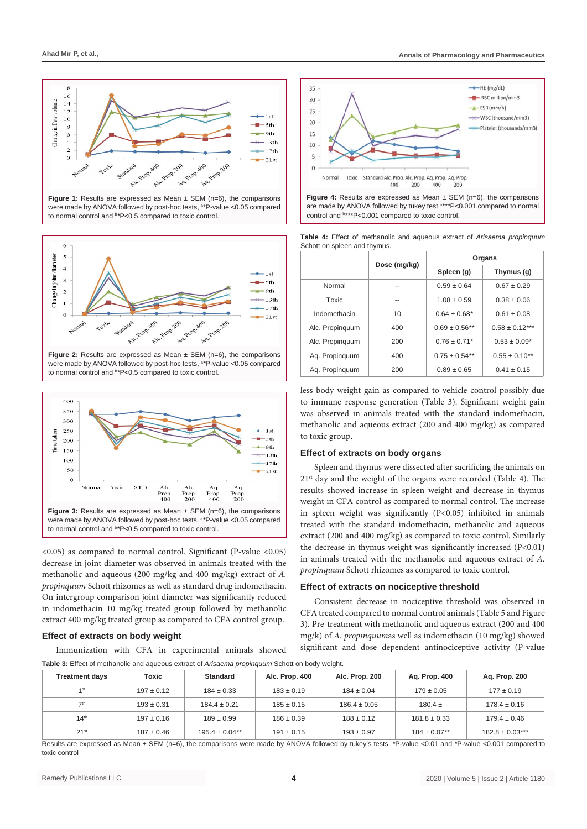

**Figure 1:** Results are expressed as Mean  $\pm$  SEM (n=6), the comparisons were made by ANOVA followed by post-hoc tests, a *\**P-value <0.05 compared to normal control and b *\**P<0.5 compared to toxic control.



**Figure 2:** Results are expressed as Mean + SEM (n=6), the comparisons were made by ANOVA followed by post-hoc tests, a *\**P-value <0.05 compared to normal control and b *\**P<0.5 compared to toxic control.



<0.05) as compared to normal control. Significant (P-value <0.05) decrease in joint diameter was observed in animals treated with the methanolic and aqueous (200 mg/kg and 400 mg/kg) extract of *A. propinquum* Schott rhizomes as well as standard drug indomethacin. On intergroup comparison joint diameter was significantly reduced in indomethacin 10 mg/kg treated group followed by methanolic extract 400 mg/kg treated group as compared to CFA control group.

### **Effect of extracts on body weight**

Immunization with CFA in experimental animals showed





**Table 4:** Effect of methanolic and aqueous extract of *Arisaema propinquum* Schott on spleen and thymus.

|                 |              | Organs             |                    |  |
|-----------------|--------------|--------------------|--------------------|--|
|                 | Dose (mg/kg) | Spleen (g)         | Thymus (g)         |  |
| Normal          | --           | $0.59 \pm 0.64$    | $0.67 \pm 0.29$    |  |
| Toxic           |              | $1.08 \pm 0.59$    | $0.38 \pm 0.06$    |  |
| Indomethacin    | 10           | $0.64 \pm 0.68*$   | $0.61 \pm 0.08$    |  |
| Alc. Propinguum | 400          | $0.69 \pm 0.56$ ** | $0.58 \pm 0.12***$ |  |
| Alc. Propinguum | 200          | $0.76 \pm 0.71*$   | $0.53 \pm 0.09*$   |  |
| Ag. Propinguum  | 400          | $0.75 \pm 0.54$ ** | $0.55 \pm 0.10**$  |  |
| Ag. Propinguum  | 200          | $0.89 \pm 0.65$    | $0.41 \pm 0.15$    |  |

less body weight gain as compared to vehicle control possibly due to immune response generation (Table 3). Significant weight gain was observed in animals treated with the standard indomethacin, methanolic and aqueous extract (200 and 400 mg/kg) as compared to toxic group.

## **Effect of extracts on body organs**

Spleen and thymus were dissected after sacrificing the animals on 21<sup>st</sup> day and the weight of the organs were recorded (Table 4). The results showed increase in spleen weight and decrease in thymus weight in CFA control as compared to normal control. The increase in spleen weight was significantly (P<0.05) inhibited in animals treated with the standard indomethacin, methanolic and aqueous extract (200 and 400 mg/kg) as compared to toxic control. Similarly the decrease in thymus weight was significantly increased (P<0.01) in animals treated with the methanolic and aqueous extract of *A. propinquum* Schott rhizomes as compared to toxic control.

## **Effect of extracts on nociceptive threshold**

Consistent decrease in nociceptive threshold was observed in CFA treated compared to normal control animals (Table 5 and Figure 3). Pre-treatment with methanolic and aqueous extract (200 and 400 mg/k) of *A. propinquum*as well as indomethacin (10 mg/kg) showed significant and dose dependent antinociceptive activity (P-value

**Table 3:** Effect of methanolic and aqueous extract of *Arisaema propinquum* Schott on body weight.

| Treatment days   | Toxic          | <b>Standard</b>     | Alc. Prop. 400 | Alc. Prop. 200   | Ag. Prop. 400                | Aq. Prop. 200                                                                                                                                       |  |
|------------------|----------------|---------------------|----------------|------------------|------------------------------|-----------------------------------------------------------------------------------------------------------------------------------------------------|--|
| 1st              | $197 \pm 0.12$ | $184 \pm 0.33$      | $183 \pm 0.19$ | $184 \pm 0.04$   | $179 \pm 0.05$               | $177 \pm 0.19$                                                                                                                                      |  |
| 7th              | $193 \pm 0.31$ | $184.4 \pm 0.21$    | $185 \pm 0.15$ | $186.4 \pm 0.05$ | $180.4 \pm$                  | $178.4 \pm 0.16$                                                                                                                                    |  |
| 14 <sup>th</sup> | $197 \pm 0.16$ | $189 \pm 0.99$      | $186 \pm 0.39$ | $188 \pm 0.12$   | $181.8 \pm 0.33$             | $179.4 \pm 0.46$                                                                                                                                    |  |
| 21 <sup>st</sup> | $187 \pm 0.46$ | $195.4 \pm 0.04$ ** | $191 \pm 0.15$ | $193 \pm 0.97$   | $184 \pm 0.07$ <sup>**</sup> | $182.8 \pm 0.03***$                                                                                                                                 |  |
|                  |                |                     |                |                  |                              | Desulta are supposed as Mage. CEM (a.C) the comparisons were mode by ANOVA followed by turboride tooks. Durbing 0.04 and the idea 0.004 compared to |  |

Results are expressed as Mean ± SEM (n=6), the comparisons were made by ANOVA followed by tukey's tests, *\**P-value <0.01 and *\**P-value <0.001 compared to toxic control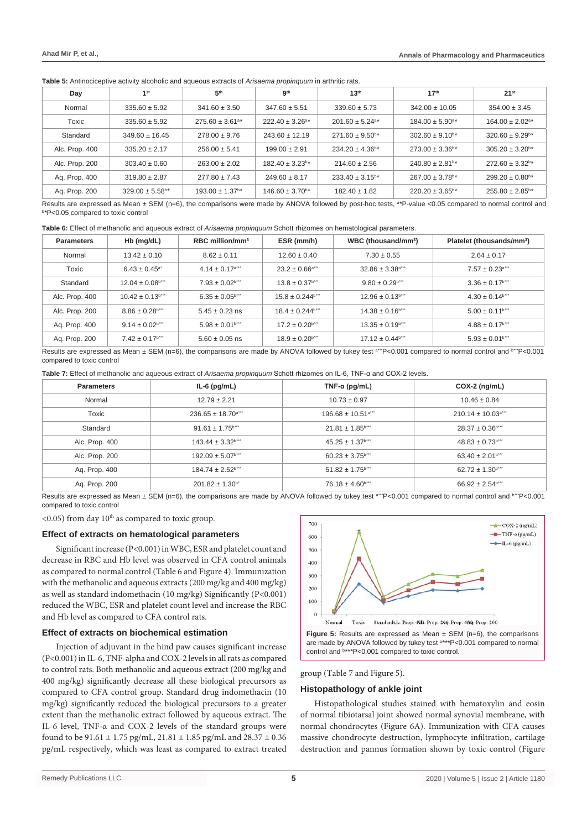**Table 5:** Antinociceptive activity alcoholic and aqueous extracts of *Arisaema propinquum* in arthritic rats.

| Day            | 1 <sup>st</sup>                 | 5 <sup>th</sup>                 | <b>gth</b>                      | 13 <sup>th</sup>                 | 17 <sup>th</sup>                 | 21 <sup>st</sup>                 |
|----------------|---------------------------------|---------------------------------|---------------------------------|----------------------------------|----------------------------------|----------------------------------|
| Normal         | $335.60 \pm 5.92$               | $341.60 \pm 3.50$               | $347.60 \pm 5.51$               | $339.60 \pm 5.73$                | $342.00 \pm 10.05$               | $354.00 \pm 3.45$                |
| Toxic          | $335.60 \pm 5.92$               | $275.60 \pm 3.61$ <sup>a*</sup> | $222.40 \pm 3.26^{\circ}$ *     | $201.60 \pm 5.24$ <sup>a*</sup>  | $184.00 \pm 5.90^{\circ}$ *      | $164.00 \pm 2.02$ <sup>a*</sup>  |
| Standard       | $349.60 \pm 16.45$              | $278.00 \pm 9.76$               | $243.60 \pm 12.19$              | $271.60 \pm 9.50$ <sup>b*</sup>  | $302.60 \pm 9.10$ <sup>b*</sup>  | $320.60 \pm 9.29$ <sup>b *</sup> |
| Alc. Prop. 400 | $335.20 \pm 2.17$               | $256.00 \pm 5.41$               | $199.00 \pm 2.91$               | $234.20 \pm 4.36$ <sup>b *</sup> | $273.00 \pm 3.36$ <sup>b *</sup> | $305.20 \pm 3.20$ <sup>b *</sup> |
| Alc. Prop. 200 | $303.40 \pm 0.60$               | $263.00 \pm 2.02$               | $182.40 \pm 3.23$ <sup>b*</sup> | $214.60 \pm 2.56$                | $240.80 \pm 2.81$ <sup>b*</sup>  | $272.60 \pm 3.32$ <sup>b *</sup> |
| Ag. Prop. 400  | $319.80 \pm 2.87$               | $277.80 \pm 7.43$               | $249.60 \pm 8.17$               | $233.40 \pm 3.15$ <sup>b*</sup>  | $267.00 \pm 3.78$ <sup>b*</sup>  | $299.20 \pm 0.80$ <sup>b *</sup> |
| Ag. Prop. 200  | $329.00 \pm 5.58$ <sup>b*</sup> | $193.00 \pm 1.37$ <sup>b*</sup> | $146.60 \pm 3.70$ <sup>b*</sup> | $182.40 \pm 1.82$                | $220.20 \pm 3.65^{\circ*}$       | $255.80 \pm 2.85^{\circ}$ *      |

Results are expressed as Mean ± SEM (n=6), the comparisons were made by ANOVA followed by post-hoc tests, <sup>a \*</sup>P-value <0.05 compared to normal control and<br>b \*P<0.05 compared to toxic control *\**P<0.05 compared to toxic control

**Table 6:** Effect of methanolic and aqueous extract of *Arisaema propinquum* Schott rhizomes on hematological parameters.

| <b>Parameters</b> | $Hb$ (mg/dL)                                 | RBC million/mm <sup>3</sup>     | ESR (mm/h)                                  | WBC (thousand/mm <sup>3</sup> )  | Platelet (thousands/mm <sup>3</sup> ) |
|-------------------|----------------------------------------------|---------------------------------|---------------------------------------------|----------------------------------|---------------------------------------|
| Normal            | $13.42 \pm 0.10$                             | $8.62 \pm 0.11$                 | $12.60 \pm 0.40$                            | $7.30 \pm 0.55$                  | $2.64 \pm 0.17$                       |
| Toxic             | $6.43 \pm 0.45$ <sup>a</sup>                 | $4.14 \pm 0.17$ <sup>a</sup>    | $23.2 \pm 0.66$ <sup>a</sup> "              | $32.86 \pm 3.38$ <sup>a</sup>    | $7.57 \pm 0.23$ <sup>a</sup> "        |
| Standard          | $12.04 \pm 0.08$ <sup>b</sup> <sup>***</sup> | $7.93 \pm 0.02$ <sup>b</sup>    | $13.8 \pm 0.37$ <sup>b</sup>                | $9.80 \pm 0.29$ <sup>b</sup>     | $3.36 \pm 0.17$ <sup>b</sup>          |
| Alc. Prop. 400    | $10.42 \pm 0.13$ <sup>b</sup>                | $6.35 \pm 0.05$ <sup>b***</sup> | $15.8 \pm 0.244$ <sup>b***</sup>            | $12.96 \pm 0.13$ <sup>b</sup>    | $4.30 \pm 0.14$ <sup>b</sup>          |
| Alc. Prop. 200    | $8.86 \pm 0.28$ <sup>b</sup> "               | $5.45 \pm 0.23$ ns              | $18.4 \pm 0.244$ <sup>b***</sup>            | $14.38 \pm 0.16$ <sup>b</sup>    | $5.00 \pm 0.11$ <sup>b***</sup>       |
| Ag. Prop. 400     | $9.14 \pm 0.02$ <sup>b***</sup>              | $5.98 \pm 0.01$ <sup>b</sup>    | $17.2 \pm 0.20$ <sup>b</sup> <sup>***</sup> | $13.35 \pm 0.19$ <sup>b</sup>    | $4.88 \pm 0.17$ <sup>b***</sup>       |
| Aq. Prop. 200     | $7.42 \pm 0.17$ <sup>b***</sup>              | $5.60 \pm 0.05$ ns              | $18.9 \pm 0.20$ <sup>b***</sup>             | $17.12 \pm 0.44$ <sup>b***</sup> | $5.93 \pm 0.01$ <sup>b</sup>          |

Results are expressed as Mean ± SEM (n=6), the comparisons are made by ANOVA followed by tukey test a*\*\*\**P<0.001 compared to normal control and b*\*\*\**P<0.001 compared to toxic control

**Table 7:** Effect of methanolic and aqueous extract of *Arisaema propinquum* Schott rhizomes on IL-6, TNF-α and COX-2 levels.

| <b>Parameters</b> | $IL-6$ (pg/mL)                                | TNF- $\alpha$ (pg/mL)              | $COX-2$ (ng/mL)                                |
|-------------------|-----------------------------------------------|------------------------------------|------------------------------------------------|
| Normal            | $12.79 \pm 2.21$                              | $10.73 \pm 0.97$                   | $10.46 \pm 0.84$                               |
| Toxic             | $236.65 \pm 18.70$ <sup>a***</sup>            | $196.68 \pm 10.51$ <sup>a***</sup> | $210.14 \pm 10.03$ <sup>a</sup> <sup>***</sup> |
| Standard          | $91.61 \pm 1.75$ <sup>b</sup>                 | $21.81 \pm 1.85$ <sup>b***</sup>   | $28.37 \pm 0.36$ <sup>b</sup> "                |
| Alc. Prop. 400    | $143.44 \pm 3.32$ <sup>b***</sup>             | $45.25 \pm 1.37$ <sup>b***</sup>   | $48.83 \pm 0.73$ <sup>b</sup> <sup>***</sup>   |
| Alc. Prop. 200    | $192.09 \pm 5.07$ <sup>b</sup>                | $60.23 \pm 3.75$ <sup>b***</sup>   | $63.40 \pm 2.01$ <sup>b***</sup>               |
| Aq. Prop. 400     | $184.74 \pm 2.52$ <sup>b</sup> <sup>***</sup> | $51.82 \pm 1.75$ <sup>b***</sup>   | $62.72 \pm 1.30$ <sup>b</sup> <sup>***</sup>   |
| Aq. Prop. 200     | $201.82 \pm 1.30$ <sup>b*</sup>               | $76.18 \pm 4.60$ <sup>b</sup>      | $66.92 \pm 2.54$ <sup>b***</sup>               |

Results are expressed as Mean ± SEM (n=6), the comparisons are made by ANOVA followed by tukey test <sup>a\*\*\*</sup>P<0.001 compared to normal control and <sup>b\*\*\*</sup>P<0.001 compared to toxic control

 $\leq$  0.05) from day 10<sup>th</sup> as compared to toxic group.

## **Effect of extracts on hematological parameters**

Significant increase (P<0.001) in WBC, ESR and platelet count and decrease in RBC and Hb level was observed in CFA control animals as compared to normal control (Table 6 and Figure 4). Immunization with the methanolic and aqueous extracts (200 mg/kg and 400 mg/kg) as well as standard indomethacin (10 mg/kg) Significantly (P<0.001) reduced the WBC, ESR and platelet count level and increase the RBC and Hb level as compared to CFA control rats.

## **Effect of extracts on biochemical estimation**

Injection of adjuvant in the hind paw causes significant increase (P<0.001) in IL-6, TNF-alpha and COX-2 levels in all rats as compared to control rats. Both methanolic and aqueous extract (200 mg/kg and 400 mg/kg) significantly decrease all these biological precursors as compared to CFA control group. Standard drug indomethacin (10 mg/kg) significantly reduced the biological precursors to a greater extent than the methanolic extract followed by aqueous extract. The IL-6 level, TNF**-**α and COX-2 levels of the standard groups were found to be  $91.61 \pm 1.75$  pg/mL,  $21.81 \pm 1.85$  pg/mL and  $28.37 \pm 0.36$ pg/mL respectively, which was least as compared to extract treated



group (Table 7 and Figure 5).

#### **Histopathology of ankle joint**

Histopathological studies stained with hematoxylin and eosin of normal tibiotarsal joint showed normal synovial membrane, with normal chondrocytes (Figure 6A). Immunization with CFA causes massive chondrocyte destruction, lymphocyte infiltration, cartilage destruction and pannus formation shown by toxic control (Figure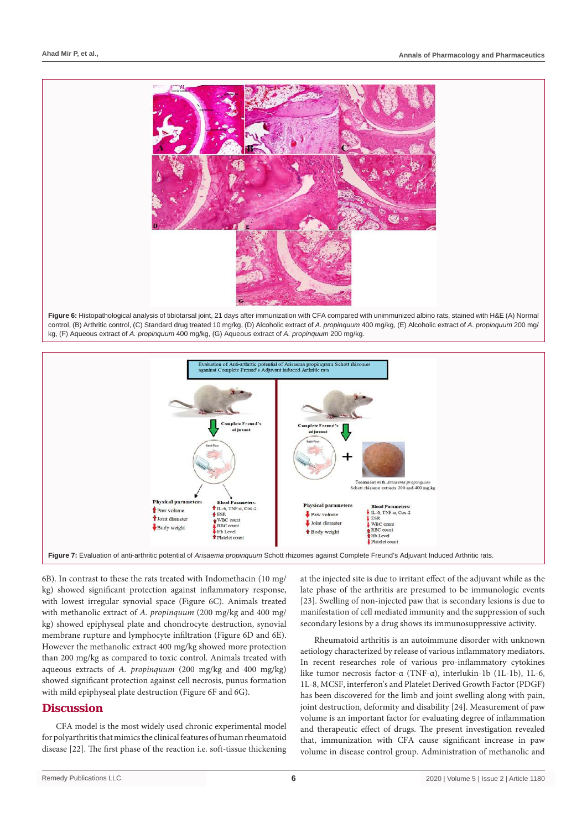

**Figure 6:** Histopathological analysis of tibiotarsal joint, 21 days after immunization with CFA compared with unimmunized albino rats, stained with H&E (A) Normal control, (B) Arthritic control, (C) Standard drug treated 10 mg/kg, (D) Alcoholic extract of *A. propinquum* 400 mg/kg, (E) Alcoholic extract of *A. propinquum* 200 mg/ kg, (F) Aqueous extract of *A. propinquum* 400 mg/kg, (G) Aqueous extract of *A. propinquum* 200 mg/kg.



6B). In contrast to these the rats treated with Indomethacin (10 mg/ kg) showed significant protection against inflammatory response, with lowest irregular synovial space (Figure 6C). Animals treated with methanolic extract of *A. propinquum* (200 mg/kg and 400 mg/ kg) showed epiphyseal plate and chondrocyte destruction, synovial membrane rupture and lymphocyte infiltration (Figure 6D and 6E). However the methanolic extract 400 mg/kg showed more protection than 200 mg/kg as compared to toxic control. Animals treated with aqueous extracts of *A. propinquum* (200 mg/kg and 400 mg/kg) showed significant protection against cell necrosis, punus formation with mild epiphyseal plate destruction (Figure 6F and 6G).

# **Discussion**

CFA model is the most widely used chronic experimental model for polyarthritis that mimics the clinical features of human rheumatoid disease [22]. The first phase of the reaction i.e. soft-tissue thickening

at the injected site is due to irritant effect of the adjuvant while as the late phase of the arthritis are presumed to be immunologic events [23]. Swelling of non-injected paw that is secondary lesions is due to manifestation of cell mediated immunity and the suppression of such secondary lesions by a drug shows its immunosuppressive activity.

Rheumatoid arthritis is an autoimmune disorder with unknown aetiology characterized by release of various inflammatory mediators. In recent researches role of various pro-inflammatory cytokines like [tumor necrosis factor-α](https://www.sciencedirect.com/topics/pharmacology-toxicology-and-pharmaceutical-science/tumor-necrosis-factor) (TNF-α), interlukin-1b (1L-1b), 1L-6, 1L-8, MCSF, interferon's and Platelet Derived Growth Factor (PDGF) has been discovered for the limb and [joint swelling](https://www.sciencedirect.com/topics/pharmacology-toxicology-and-pharmaceutical-science/joint-swelling) along with pain, joint destruction, deformity and disability [24]. Measurement of paw volume is an important factor for evaluating degree of inflammation and therapeutic effect of drugs. The present investigation revealed that, immunization with CFA cause significant increase in paw volume in disease control group. Administration of methanolic and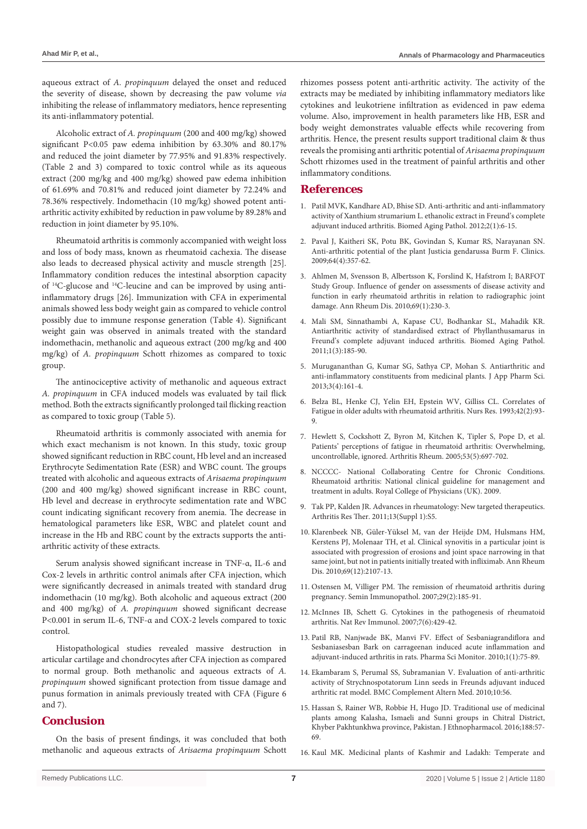aqueous extract of *A. propinquum* delayed the onset and reduced the severity of disease, shown by decreasing the paw volume *via* inhibiting the release of inflammatory mediators, hence representing its anti-inflammatory potential.

Alcoholic extract of *A. propinquum* (200 and 400 mg/kg) showed significant P<0.05 paw edema inhibition by 63.30% and 80.17% and reduced the joint diameter by 77.95% and 91.83% respectively. (Table 2 and 3) compared to toxic control while as its aqueous extract (200 mg/kg and 400 mg/kg) showed paw edema inhibition of 61.69% and 70.81% and reduced joint diameter by 72.24% and 78.36% respectively. Indomethacin (10 mg/kg) showed potent antiarthritic activity exhibited by reduction in paw volume by 89.28% and reduction in joint diameter by 95.10%.

Rheumatoid arthritis is commonly accompanied with weight loss and loss of body mass, known as rheumatoid cachexia. The disease also leads to decreased physical activity and muscle strength [25]. Inflammatory condition reduces the intestinal absorption capacity of 14C-glucose and 14C-leucine and can be improved by using antiinflammatory drugs [26]. Immunization with CFA in experimental animals showed less body weight gain as compared to vehicle control possibly due to immune response generation (Table 4). Significant weight gain was observed in animals treated with the standard indomethacin, methanolic and aqueous extract (200 mg/kg and 400 mg/kg) of *A. propinquum* Schott rhizomes as compared to toxic group.

The antinociceptive activity of methanolic and aqueous extract *A. propinquum* in CFA induced models was evaluated by tail flick method. Both the extracts significantly prolonged tail flicking reaction as compared to toxic group (Table 5).

Rheumatoid arthritis is commonly associated with anemia for which exact mechanism is not known. In this study, toxic group showed significant reduction in RBC count, Hb level and an increased Erythrocyte Sedimentation Rate (ESR) and WBC count. The groups treated with alcoholic and aqueous extracts of *Arisaema propinquum* (200 and 400 mg/kg) showed significant increase in RBC count, Hb level and decrease in erythrocyte sedimentation rate and WBC count indicating significant recovery from anemia. The decrease in hematological parameters like ESR, WBC and platelet count and increase in the Hb and RBC count by the extracts supports the antiarthritic activity of these extracts.

Serum analysis showed significant increase in TNF-α, IL-6 and Cox-2 levels in arthritic control animals after CFA injection, which were significantly decreased in animals treated with standard drug indomethacin (10 mg/kg). Both alcoholic and aqueous extract (200 and 400 mg/kg) of *A. propinquum* showed significant decrease P<0.001 in serum IL-6, TNF-α and COX-2 levels compared to toxic control.

Histopathological studies revealed massive destruction in articular cartilage and chondrocytes after CFA injection as compared to normal group. Both methanolic and aqueous extracts of *A. propinquum* showed significant protection from tissue damage and punus formation in animals previously treated with CFA (Figure 6 and 7).

## **Conclusion**

On the basis of present findings, it was concluded that both methanolic and aqueous extracts of *Arisaema propinquum* Schott rhizomes possess potent anti-arthritic activity. The activity of the extracts may be mediated by inhibiting inflammatory mediators like cytokines and leukotriene infiltration as evidenced in paw edema volume. Also, improvement in health parameters like HB, ESR and body weight demonstrates valuable effects while recovering from arthritis. Hence, the present results support traditional claim & thus reveals the promising anti arthritic potential of *Arisaema propinquum* Schott rhizomes used in the treatment of painful arthritis and other inflammatory conditions.

## **References**

- 1. [Patil MVK, Kandhare AD, Bhise SD. Anti-arthritic and anti-inflammatory](https://www.sciencedirect.com/science/article/abs/pii/S2210522012000032)  [activity of Xanthium strumarium L. ethanolic extract in Freund's complete](https://www.sciencedirect.com/science/article/abs/pii/S2210522012000032)  [adjuvant induced arthritis. Biomed Aging Pathol. 2012;2\(1\):6-15.](https://www.sciencedirect.com/science/article/abs/pii/S2210522012000032)
- 2. [Paval J, Kaitheri SK, Potu BK, Govindan S, Kumar RS, Narayanan SN.](https://www.ncbi.nlm.nih.gov/pmc/articles/PMC2694464/)  [Anti-arthritic potential of the plant Justicia gendarussa Burm F. Clinics.](https://www.ncbi.nlm.nih.gov/pmc/articles/PMC2694464/)  [2009;64\(4\):357-62.](https://www.ncbi.nlm.nih.gov/pmc/articles/PMC2694464/)
- 3. [Ahlmen M, Svensson B, Albertsson K, Forslind K, Hafstrom I; BARFOT](https://www.ncbi.nlm.nih.gov/pubmed/19158113)  [Study Group. Influence of gender on assessments of disease activity and](https://www.ncbi.nlm.nih.gov/pubmed/19158113)  [function in early rheumatoid arthritis in relation to radiographic joint](https://www.ncbi.nlm.nih.gov/pubmed/19158113)  [damage. Ann Rheum Dis. 2010;69\(1\):230-3.](https://www.ncbi.nlm.nih.gov/pubmed/19158113)
- 4. [Mali SM, Sinnathambi A, Kapase CU, Bodhankar SL, Mahadik KR.](https://www.sciencedirect.com/science/article/abs/pii/S2210522011000451)  [Antiarthritic activity of standardised extract of Phyllanthusamarus in](https://www.sciencedirect.com/science/article/abs/pii/S2210522011000451)  [Freund's complete adjuvant induced arthritis. Biomed Aging Pathol.](https://www.sciencedirect.com/science/article/abs/pii/S2210522011000451)  [2011;1\(3\):185-90.](https://www.sciencedirect.com/science/article/abs/pii/S2210522011000451)
- 5. [Murugananthan G, Kumar SG, Sathya CP, Mohan S. Antiarthritic and](https://www.japsonline.com/admin/php/uploads/869_pdf.pdf)  [anti-inflammatory constituents from medicinal plants. J App Pharm Sci.](https://www.japsonline.com/admin/php/uploads/869_pdf.pdf)  [2013;3\(4\):161-4.](https://www.japsonline.com/admin/php/uploads/869_pdf.pdf)
- 6. [Belza BL, Henke CJ, Yelin EH, Epstein WV, Gilliss CL. Correlates of](https://www.ncbi.nlm.nih.gov/pubmed/8455994)  [Fatigue in older adults with rheumatoid arthritis. Nurs Res. 1993;42\(2\):93-](https://www.ncbi.nlm.nih.gov/pubmed/8455994) [9.](https://www.ncbi.nlm.nih.gov/pubmed/8455994)
- 7. [Hewlett S, Cockshott Z, Byron M, Kitchen K, Tipler S, Pope D, et al.](https://www.ncbi.nlm.nih.gov/pubmed/16208668)  [Patients' perceptions of fatigue in rheumatoid arthritis: Overwhelming,](https://www.ncbi.nlm.nih.gov/pubmed/16208668)  [uncontrollable, ignored. Arthritis Rheum. 2005;53\(5\):697-702.](https://www.ncbi.nlm.nih.gov/pubmed/16208668)
- 8. [NCCCC- National Collaborating Centre for Chronic Conditions.](https://www.ncbi.nlm.nih.gov/pubmed/21413195)  [Rheumatoid arthritis: National clinical guideline for management and](https://www.ncbi.nlm.nih.gov/pubmed/21413195)  [treatment in adults. Royal College of Physicians \(UK\). 2009.](https://www.ncbi.nlm.nih.gov/pubmed/21413195)
- 9. [Tak PP, Kalden JR. Advances in rheumatology: New targeted therapeutics.](https://www.ncbi.nlm.nih.gov/pubmed/21624184)  [Arthritis Res Ther. 2011;13\(Suppl 1\):S5.](https://www.ncbi.nlm.nih.gov/pubmed/21624184)
- 10. [Klarenbeek NB, Güler-Yüksel M, van der Heijde DM, Hulsmans HM,](https://www.ncbi.nlm.nih.gov/pubmed/20610442)  [Kerstens PJ, Molenaar TH, et al. Clinical synovitis in a particular joint is](https://www.ncbi.nlm.nih.gov/pubmed/20610442)  [associated with progression of erosions and joint space narrowing in that](https://www.ncbi.nlm.nih.gov/pubmed/20610442)  [same joint, but not in patients initially treated with infliximab. Ann Rheum](https://www.ncbi.nlm.nih.gov/pubmed/20610442)  [Dis. 2010;69\(12\):2107-13.](https://www.ncbi.nlm.nih.gov/pubmed/20610442)
- 11. [Ostensen M, Villiger PM. The remission of rheumatoid arthritis during](https://www.ncbi.nlm.nih.gov/pubmed/17621703)  [pregnancy. Semin Immunopathol. 2007;29\(2\):185-91.](https://www.ncbi.nlm.nih.gov/pubmed/17621703)
- 12. [McInnes IB, Schett G. Cytokines in the pathogenesis of rheumatoid](https://www.ncbi.nlm.nih.gov/pubmed/17525752)  [arthritis. Nat Rev Immunol. 2007;7\(6\):429-42.](https://www.ncbi.nlm.nih.gov/pubmed/17525752)
- 13. [Patil RB, Nanjwade BK, Manvi FV. Effect of Sesbaniagrandiflora and](https://www.cabdirect.org/cabdirect/abstract/20103325077)  [Sesbaniasesban Bark on carrageenan induced acute inflammation and](https://www.cabdirect.org/cabdirect/abstract/20103325077)  [adjuvant-induced arthritis in rats. Pharma Sci Monitor. 2010;1\(1\):75-89.](https://www.cabdirect.org/cabdirect/abstract/20103325077)
- 14. [Ekambaram S, Perumal SS, Subramanian V. Evaluation of anti-arthritic](https://www.ncbi.nlm.nih.gov/pubmed/20939932)  [activity of Strychnospotatorum Linn seeds in Freunds adjuvant induced](https://www.ncbi.nlm.nih.gov/pubmed/20939932)  [arthritic rat model. BMC Complement Altern Med. 2010;10:56.](https://www.ncbi.nlm.nih.gov/pubmed/20939932)
- 15. [Hassan S, Rainer WB, Robbie H, Hugo JD. Traditional use of medicinal](https://www.ncbi.nlm.nih.gov/pubmed/27154408)  [plants among Kalasha, Ismaeli and Sunni groups in Chitral District,](https://www.ncbi.nlm.nih.gov/pubmed/27154408)  [Khyber Pakhtunkhwa province, Pakistan. J Ethnopharmacol. 2016;188:57-](https://www.ncbi.nlm.nih.gov/pubmed/27154408) [69.](https://www.ncbi.nlm.nih.gov/pubmed/27154408)
- 16. [Kaul MK. Medicinal plants of Kashmir and Ladakh: Temperate and](https://books.google.co.in/books/about/Medicinal_Plants_of_Kashmir_and_Ladakh.html?id=R-vijZTo3TkC)